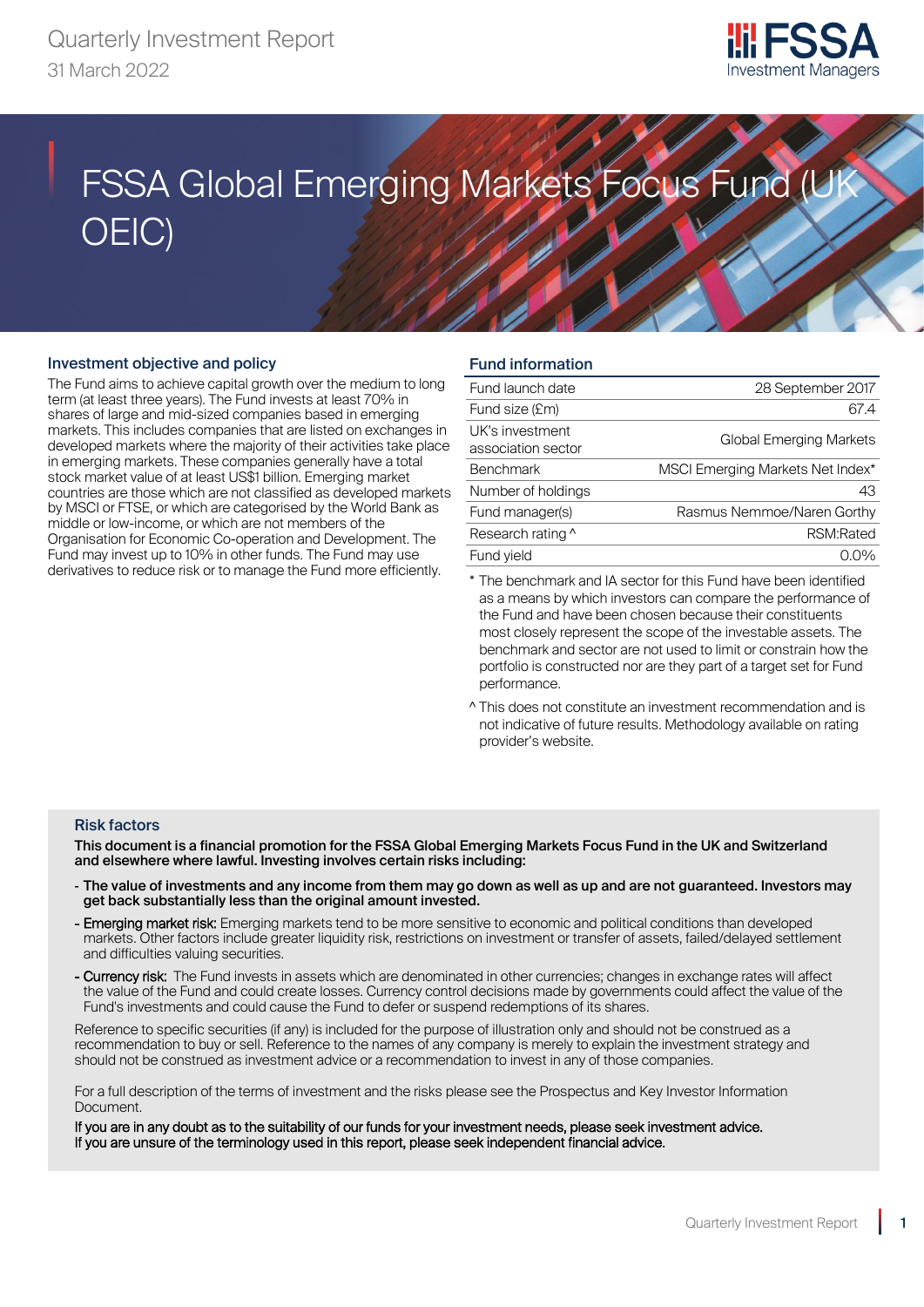

# **FSSA Global Emerging Markets Focus Fund (UK)** OEIC)

# Investment objective and policy

The Fund aims to achieve capital growth over the medium to long term (at least three years). The Fund invests at least 70% in shares of large and mid-sized companies based in emerging markets. This includes companies that are listed on exchanges in developed markets where the majority of their activities take place in emerging markets. These companies generally have a total stock market value of at least US\$1 billion. Emerging market countries are those which are not classified as developed markets by MSCI or FTSE, or which are categorised by the World Bank as middle or low-income, or which are not members of the Organisation for Economic Co-operation and Development. The Fund may invest up to 10% in other funds. The Fund may use derivatives to reduce risk or to manage the Fund more efficiently.

# Fund information

| Fund launch date                      | 28 September 2017                |
|---------------------------------------|----------------------------------|
| Fund size (£m)                        | 67.4                             |
| UK's investment<br>association sector | <b>Global Emerging Markets</b>   |
| <b>Benchmark</b>                      | MSCI Emerging Markets Net Index* |
| Number of holdings                    | 43                               |
| Fund manager(s)                       | Rasmus Nemmoe/Naren Gorthy       |
| Research rating ^                     | RSM:Rated                        |
| Fund vield                            |                                  |

The benchmark and IA sector for this Fund have been identified as a means by which investors can compare the performance of the Fund and have been chosen because their constituents most closely represent the scope of the investable assets. The benchmark and sector are not used to limit or constrain how the portfolio is constructed nor are they part of a target set for Fund performance.

^ This does not constitute an investment recommendation and is not indicative of future results. Methodology available on rating provider's website.

#### Risk factors

This document is a financial promotion for the FSSA Global Emerging Markets Focus Fund in the UK and Switzerland and elsewhere where lawful. Investing involves certain risks including:

- The value of investments and any income from them may go down as well as up and are not guaranteed. Investors may get back substantially less than the original amount invested.
- Emerging market risk: Emerging markets tend to be more sensitive to economic and political conditions than developed markets. Other factors include greater liquidity risk, restrictions on investment or transfer of assets, failed/delayed settlement and difficulties valuing securities.
- Currency risk: The Fund invests in assets which are denominated in other currencies; changes in exchange rates will affect the value of the Fund and could create losses. Currency control decisions made by governments could affect the value of the Fund's investments and could cause the Fund to defer or suspend redemptions of its shares.

Reference to specific securities (if any) is included for the purpose of illustration only and should not be construed as a recommendation to buy or sell. Reference to the names of any company is merely to explain the investment strategy and should not be construed as investment advice or a recommendation to invest in any of those companies.

For a full description of the terms of investment and the risks please see the Prospectus and Key Investor Information Document.

If you are in any doubt as to the suitability of our funds for your investment needs, please seek investment advice. If you are unsure of the terminology used in this report, please seek independent financial advice.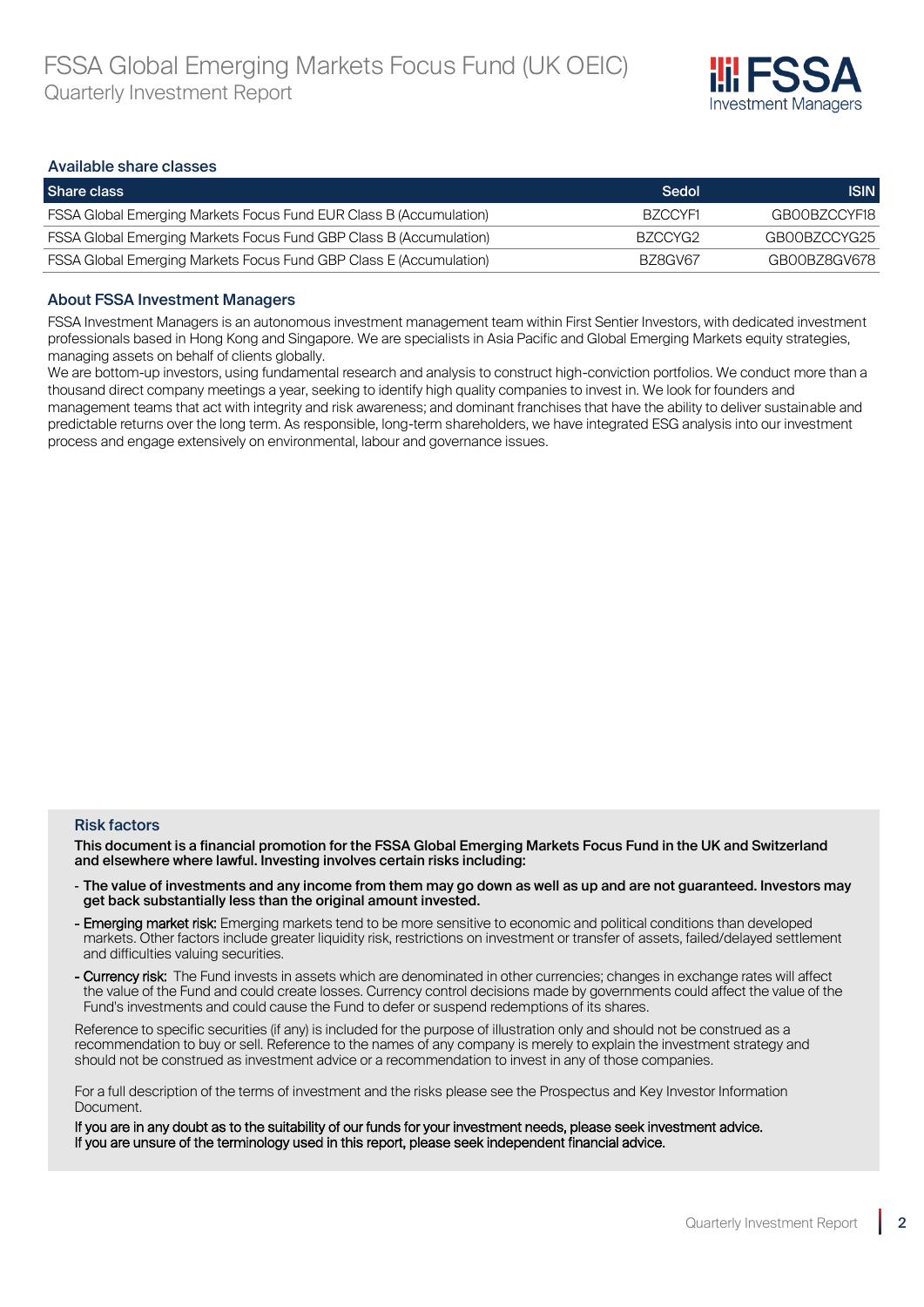

#### Available share classes

| Share class                                                               | Sedol   | <b>ISIN</b>  |
|---------------------------------------------------------------------------|---------|--------------|
| <b>FSSA Global Emerging Markets Focus Fund EUR Class B (Accumulation)</b> | BZCCYF1 | GB00BZCCYF18 |
| <b>FSSA Global Emerging Markets Focus Fund GBP Class B (Accumulation)</b> | BZCCYG2 | GB00BZCCYG25 |
| <b>FSSA Global Emerging Markets Focus Fund GBP Class E (Accumulation)</b> | BZ8GV67 | GB00BZ8GV678 |

#### About FSSA Investment Managers

FSSA Investment Managers is an autonomous investment management team within First Sentier Investors, with dedicated investment professionals based in Hong Kong and Singapore. We are specialists in Asia Pacific and Global Emerging Markets equity strategies, managing assets on behalf of clients globally.

We are bottom-up investors, using fundamental research and analysis to construct high-conviction portfolios. We conduct more than a thousand direct company meetings a year, seeking to identify high quality companies to invest in. We look for founders and management teams that act with integrity and risk awareness; and dominant franchises that have the ability to deliver sustainable and predictable returns over the long term. As responsible, long-term shareholders, we have integrated ESG analysis into our investment process and engage extensively on environmental, labour and governance issues.

#### Risk factors

This document is a financial promotion for the FSSA Global Emerging Markets Focus Fund in the UK and Switzerland and elsewhere where lawful. Investing involves certain risks including:

- The value of investments and any income from them may go down as well as up and are not guaranteed. Investors may get back substantially less than the original amount invested.
- Emerging market risk: Emerging markets tend to be more sensitive to economic and political conditions than developed markets. Other factors include greater liquidity risk, restrictions on investment or transfer of assets, failed/delayed settlement and difficulties valuing securities.
- Currency risk: The Fund invests in assets which are denominated in other currencies; changes in exchange rates will affect the value of the Fund and could create losses. Currency control decisions made by governments could affect the value of the Fund's investments and could cause the Fund to defer or suspend redemptions of its shares.

Reference to specific securities (if any) is included for the purpose of illustration only and should not be construed as a recommendation to buy or sell. Reference to the names of any company is merely to explain the investment strategy and should not be construed as investment advice or a recommendation to invest in any of those companies.

For a full description of the terms of investment and the risks please see the Prospectus and Key Investor Information Document.

If you are in any doubt as to the suitability of our funds for your investment needs, please seek investment advice. If you are unsure of the terminology used in this report, please seek independent financial advice.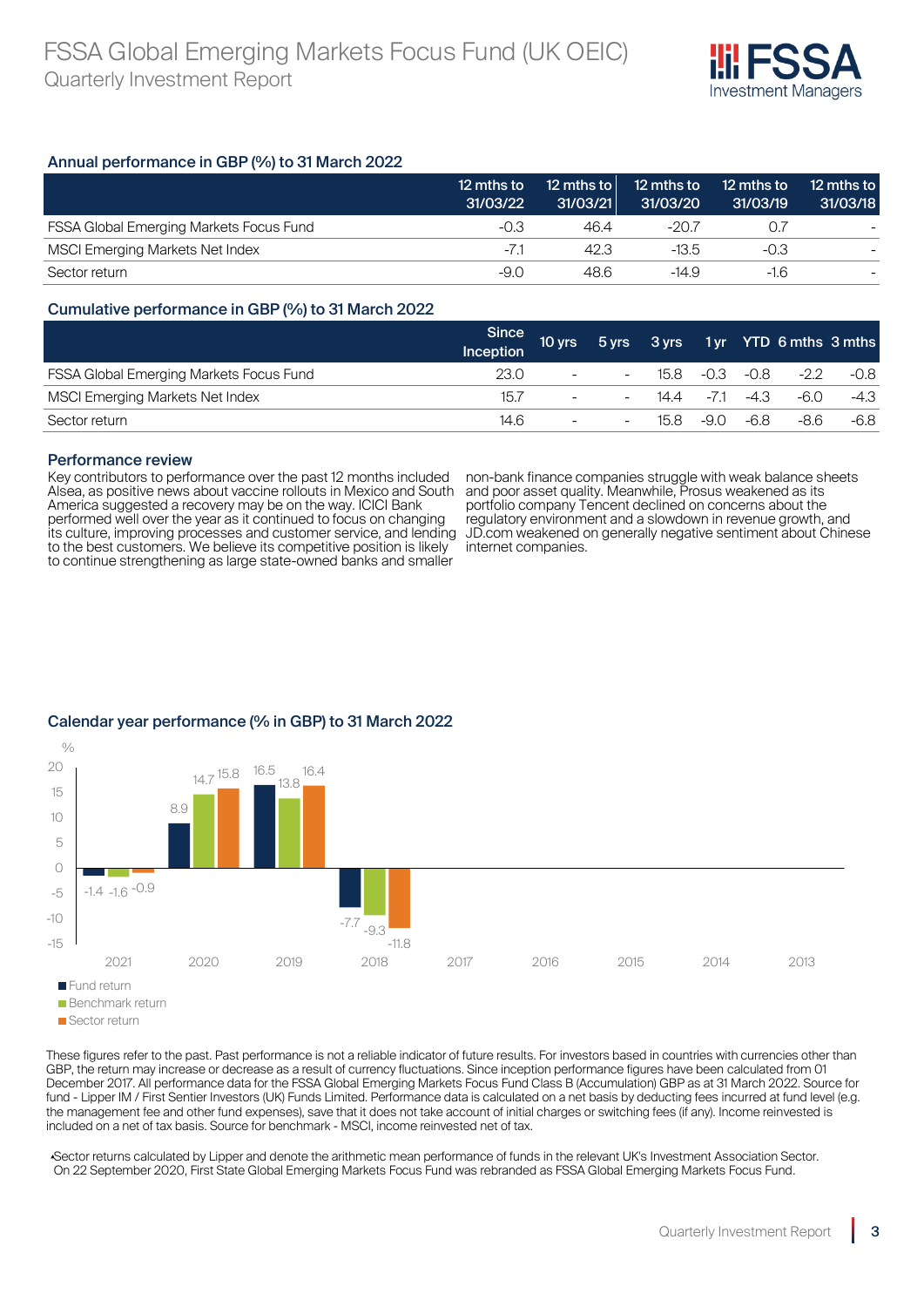

# Annual performance in GBP (%) to 31 March 2022

|                                                | 12 mths to<br>31/03/22 | 12 mths to<br>31/03/21 | 12 mths to<br>31/03/20 | 12 mths to<br>31/03/19 | 12 mths to<br>31/03/18   |
|------------------------------------------------|------------------------|------------------------|------------------------|------------------------|--------------------------|
| <b>FSSA Global Emerging Markets Focus Fund</b> | -0.3                   | 46.4                   | -20.7                  | $($ ). $\prime$        | $\overline{\phantom{0}}$ |
| <b>MSCI Emerging Markets Net Index</b>         | $-7.1$                 | 42.3                   | -13.5                  | -0.3                   |                          |
| Sector return                                  | -9.0                   | 48.6                   | -14.9                  | $-1.6$                 |                          |

# Cumulative performance in GBP (%) to 31 March 2022

|                                                | Since<br>Inception | 10 yrs                   |                          |      |           |        | 5 yrs 3 yrs 1 yr YTD 6 mths 3 mths |        |
|------------------------------------------------|--------------------|--------------------------|--------------------------|------|-----------|--------|------------------------------------|--------|
| <b>FSSA Global Emerging Markets Focus Fund</b> | 23.0               | $\overline{\phantom{a}}$ | $\overline{\phantom{0}}$ | 15.8 | -0.3 -0.8 |        | -22                                | $-0.8$ |
| MSCI Emerging Markets Net Index                | 15.7               | $\overline{\phantom{a}}$ | $\overline{\phantom{0}}$ | 14.4 | $-7.1$    | $-4.3$ | -6.0                               | $-4.3$ |
| Sector return                                  | 14.6               | $\overline{\phantom{0}}$ | $\overline{\phantom{0}}$ | 15.8 | -9.0      | -6.8   | -8.6                               | -6.8   |

#### Performance review

Key contributors to performance over the past 12 months included Alsea, as positive news about vaccine rollouts in Mexico and South America suggested a recovery may be on the way. ICICI Bank performed well over the year as it continued to focus on changing its culture, improving processes and customer service, and lending to the best customers. We believe its competitive position is likely to continue strengthening as large state-owned banks and smaller

non-bank finance companies struggle with weak balance sheets and poor asset quality. Meanwhile, Prosus weakened as its portfolio company Tencent declined on concerns about the regulatory environment and a slowdown in revenue growth, and JD.com weakened on generally negative sentiment about Chinese internet companies.



# Calendar year performance (% in GBP) to 31 March 2022

These figures refer to the past. Past performance is not a reliable indicator of future results. For investors based in countries with currencies other than GBP, the return may increase or decrease as a result of currency fluctuations. Since inception performance figures have been calculated from 01 December 2017. All performance data for the FSSA Global Emerging Markets Focus Fund Class B (Accumulation) GBP as at 31 March 2022. Source for fund - Lipper IM / First Sentier Investors (UK) Funds Limited. Performance data is calculated on a net basis by deducting fees incurred at fund level (e.g. the management fee and other fund expenses), save that it does not take account of initial charges or switching fees (if any). Income reinvested is included on a net of tax basis. Source for benchmark - MSCI, income reinvested net of tax.

▴Sector returns calculated by Lipper and denote the arithmetic mean performance of funds in the relevant UK's Investment Association Sector. On 22 September 2020, First State Global Emerging Markets Focus Fund was rebranded as FSSA Global Emerging Markets Focus Fund.

**Sector return**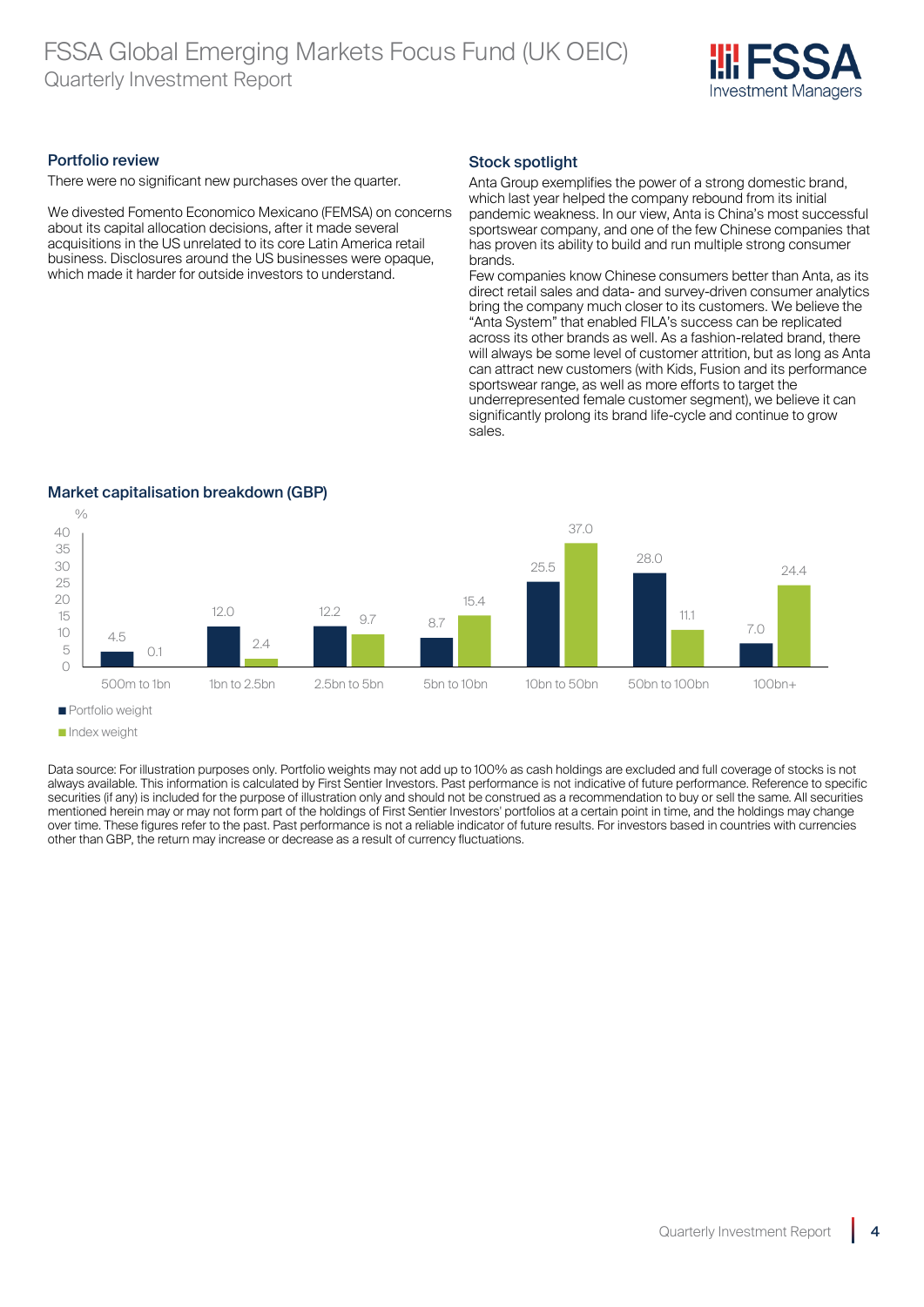

# Portfolio review

There were no significant new purchases over the quarter.

We divested Fomento Economico Mexicano (FEMSA) on concerns about its capital allocation decisions, after it made several acquisitions in the US unrelated to its core Latin America retail business. Disclosures around the US businesses were opaque, which made it harder for outside investors to understand.

# Stock spotlight

Anta Group exemplifies the power of a strong domestic brand, which last year helped the company rebound from its initial pandemic weakness. In our view, Anta is China's most successful sportswear company, and one of the few Chinese companies that has proven its ability to build and run multiple strong consumer brands.

Few companies know Chinese consumers better than Anta, as its direct retail sales and data- and survey-driven consumer analytics bring the company much closer to its customers. We believe the "Anta System" that enabled FILA's success can be replicated across its other brands as well. As a fashion-related brand, there will always be some level of customer attrition, but as long as Anta can attract new customers (with Kids, Fusion and its performance sportswear range, as well as more efforts to target the underrepresented female customer segment), we believe it can significantly prolong its brand life-cycle and continue to grow sales.

# Market capitalisation breakdown (GBP)



**Portfolio weight** 

Data source: For illustration purposes only. Portfolio weights may not add up to 100% as cash holdings are excluded and full coverage of stocks is not always available. This information is calculated by First Sentier Investors. Past performance is not indicative of future performance. Reference to specific securities (if any) is included for the purpose of illustration only and should not be construed as a recommendation to buy or sell the same. All securities mentioned herein may or may not form part of the holdings of First Sentier Investors' portfolios at a certain point in time, and the holdings may change over time. These figures refer to the past. Past performance is not a reliable indicator of future results. For investors based in countries with currencies other than GBP, the return may increase or decrease as a result of currency fluctuations.

Index weight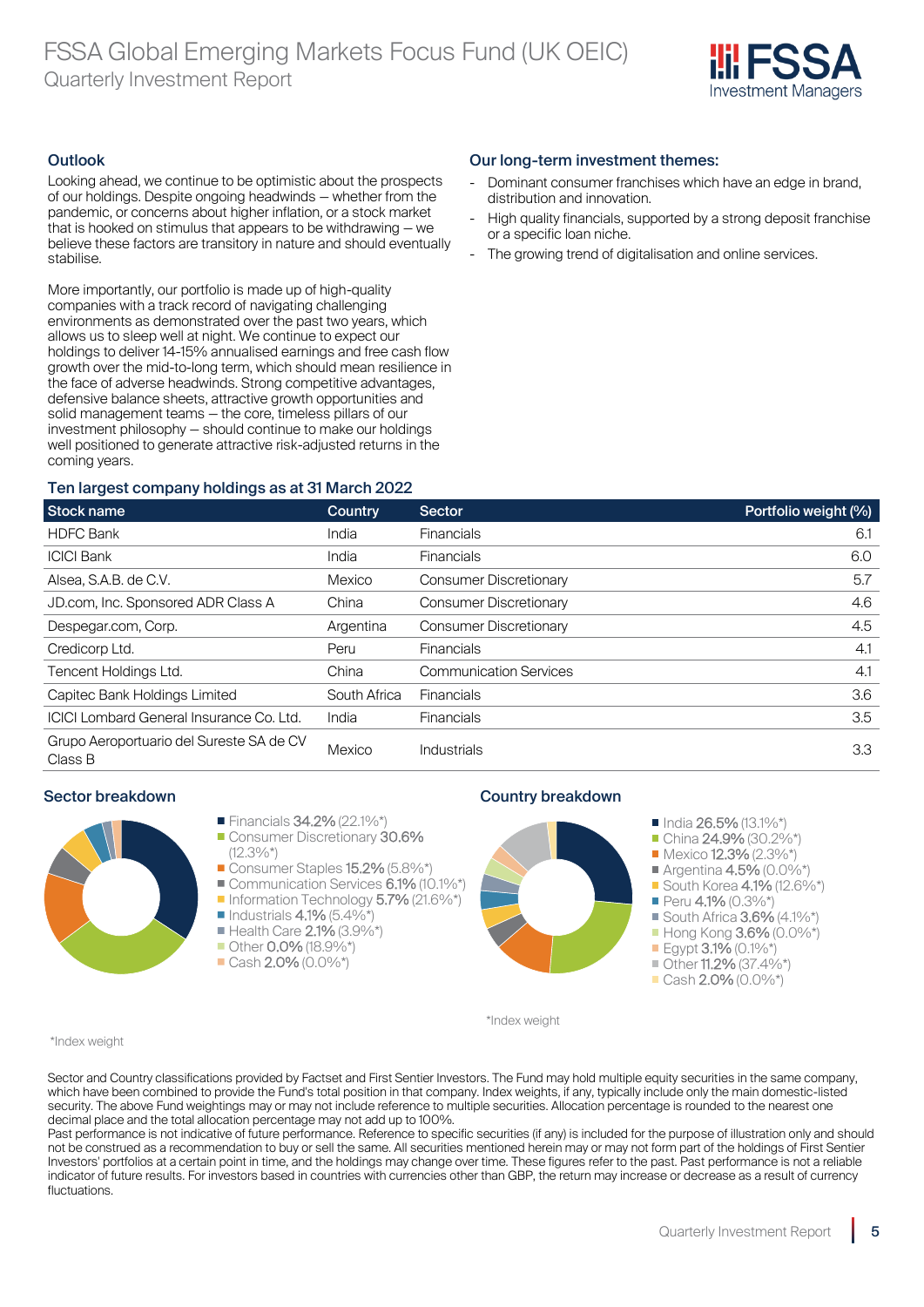

# **Outlook**

Looking ahead, we continue to be optimistic about the prospects of our holdings. Despite ongoing headwinds — whether from the pandemic, or concerns about higher inflation, or a stock market that is hooked on stimulus that appears to be withdrawing — we believe these factors are transitory in nature and should eventually stabilise.

More importantly, our portfolio is made up of high-quality companies with a track record of navigating challenging environments as demonstrated over the past two years, which allows us to sleep well at night. We continue to expect our holdings to deliver 14-15% annualised earnings and free cash flow growth over the mid-to-long term, which should mean resilience in the face of adverse headwinds. Strong competitive advantages, defensive balance sheets, attractive growth opportunities and solid management teams — the core, timeless pillars of our investment philosophy — should continue to make our holdings well positioned to generate attractive risk-adjusted returns in the coming years.

# Ten largest company holdings as at 31 March 2022

# Our long-term investment themes:

- Dominant consumer franchises which have an edge in brand. distribution and innovation.
- High quality financials, supported by a strong deposit franchise or a specific loan niche.
- The growing trend of digitalisation and online services.

| <b>Stock name</b>                                   | Country      | <b>Sector</b>                 | Portfolio weight (%) |
|-----------------------------------------------------|--------------|-------------------------------|----------------------|
| <b>HDFC Bank</b>                                    | India        | <b>Financials</b>             | 6.1                  |
| <b>ICICI Bank</b>                                   | India        | <b>Financials</b>             | 6.0                  |
| Alsea, S.A.B. de C.V.                               | Mexico       | <b>Consumer Discretionary</b> | 5.7                  |
| JD.com, Inc. Sponsored ADR Class A                  | China        | <b>Consumer Discretionary</b> | 4.6                  |
| Despegar.com, Corp.                                 | Argentina    | <b>Consumer Discretionary</b> | 4.5                  |
| Credicorp Ltd.                                      | Peru         | <b>Financials</b>             | 4.1                  |
| Tencent Holdings Ltd.                               | China        | <b>Communication Services</b> | 4.1                  |
| Capitec Bank Holdings Limited                       | South Africa | <b>Financials</b>             | 3.6                  |
| <b>ICICI Lombard General Insurance Co. Ltd.</b>     | India        | <b>Financials</b>             | 3.5                  |
| Grupo Aeroportuario del Sureste SA de CV<br>Class B | Mexico       | <b>Industrials</b>            | 3.3                  |



# Financials 34.2% (22.1%\*)

- Consumer Discretionary 30.6%  $(12.3\%*)$
- Consumer Staples 15.2% (5.8%\*)
- Communication Services 6.1% (10.1%\*
- Information Technology 5.7% (21.6%\*)
- $\blacksquare$  Industrials 4.1% (5.4%\*)
- Health Care 2.1% (3.9%\*)
- Other 0.0% (18.9%\*)
- $\blacksquare$  Cash 2.0% (0.0%\*)

# Sector breakdown **Country breakdown Country breakdown**



\*Index weight

\*Index weight

Sector and Country classifications provided by Factset and First Sentier Investors. The Fund may hold multiple equity securities in the same company, which have been combined to provide the Fund's total position in that company. Index weights, if any, typically include only the main domestic-listed security. The above Fund weightings may or may not include reference to multiple securities. Allocation percentage is rounded to the nearest one decimal place and the total allocation percentage may not add up to 100%.

Past performance is not indicative of future performance. Reference to specific securities (if any) is included for the purpose of illustration only and should not be construed as a recommendation to buy or sell the same. All securities mentioned herein may or may not form part of the holdings of First Sentier Investors' portfolios at a certain point in time, and the holdings may change over time. These figures refer to the past. Past performance is not a reliable indicator of future results. For investors based in countries with currencies other than GBP, the return may increase or decrease as a result of currency fluctuations.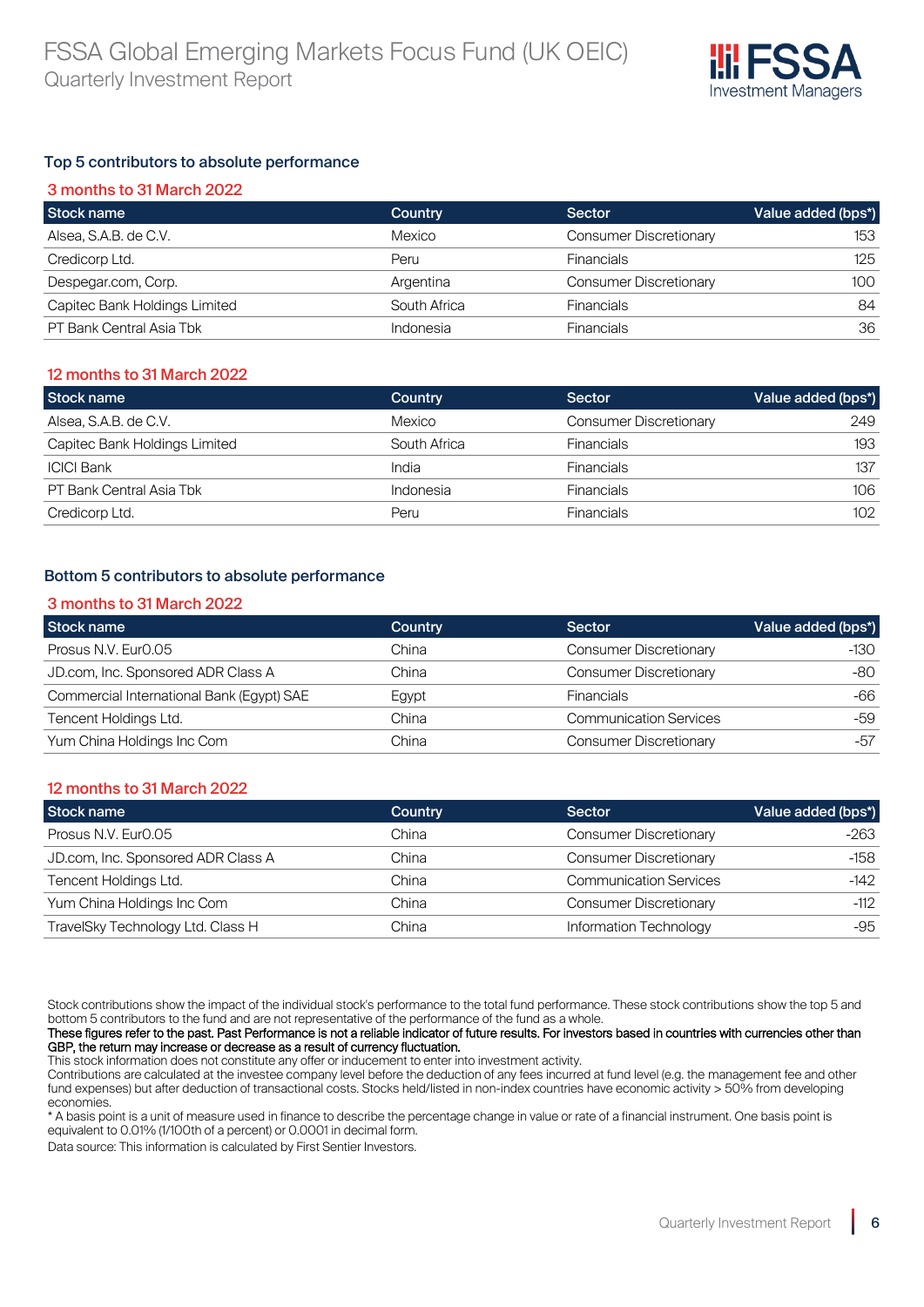

# Top 5 contributors to absolute performance

| 3 months to 31 March 2022     |              |                               |                    |  |  |  |
|-------------------------------|--------------|-------------------------------|--------------------|--|--|--|
| Stock name                    | Country      | Sector                        | Value added (bps*) |  |  |  |
| Alsea, S.A.B. de C.V.         | Mexico       | <b>Consumer Discretionary</b> | 153                |  |  |  |
| Credicorp Ltd.                | Peru         | <b>Financials</b>             | 125                |  |  |  |
| Despegar.com, Corp.           | Argentina    | <b>Consumer Discretionary</b> | 100                |  |  |  |
| Capitec Bank Holdings Limited | South Africa | <b>Financials</b>             | 84                 |  |  |  |
| PT Bank Central Asia Tbk      | Indonesia    | <b>Financials</b>             | 36                 |  |  |  |

# 12 months to 31 March 2022

| Stock name                    | Country      | Sector                        | Value added (bps*) |
|-------------------------------|--------------|-------------------------------|--------------------|
| Alsea, S.A.B. de C.V.         | Mexico       | <b>Consumer Discretionary</b> | 249                |
| Capitec Bank Holdings Limited | South Africa | <b>Financials</b>             | 193                |
| <b>ICICI Bank</b>             | India        | <b>Financials</b>             | 137                |
| PT Bank Central Asia Tbk      | Indonesia    | <b>Financials</b>             | 106                |
| Credicorp Ltd.                | Peru         | <b>Financials</b>             | 102                |

# Bottom 5 contributors to absolute performance

# 3 months to 31 March 2022

| Stock name                                | Country | Sector                        | Value added (bps*) |
|-------------------------------------------|---------|-------------------------------|--------------------|
| Prosus N.V. Eur <sub>0.05</sub>           | China   | <b>Consumer Discretionary</b> | $-130$             |
| JD.com, Inc. Sponsored ADR Class A        | China   | <b>Consumer Discretionary</b> | -80                |
| Commercial International Bank (Egypt) SAE | Egypt   | <b>Financials</b>             | -66                |
| Tencent Holdings Ltd.                     | China   | <b>Communication Services</b> | -59                |
| Yum China Holdings Inc Com                | China   | <b>Consumer Discretionary</b> | -57                |

# 12 months to 31 March 2022

| Stock name                         | Country | Sector                        | Value added (bps*) |
|------------------------------------|---------|-------------------------------|--------------------|
| Prosus N.V. Eur <sub>0.05</sub>    | China   | <b>Consumer Discretionary</b> | -263               |
| JD.com, Inc. Sponsored ADR Class A | China   | <b>Consumer Discretionary</b> | $-158$             |
| Tencent Holdings Ltd.              | China   | <b>Communication Services</b> | $-142$             |
| Yum China Holdings Inc Com         | China   | <b>Consumer Discretionary</b> | $-112$             |
| TravelSky Technology Ltd. Class H  | China   | Information Technology        | $-95$              |

Stock contributions show the impact of the individual stock's performance to the total fund performance. These stock contributions show the top 5 and bottom 5 contributors to the fund and are not representative of the performance of the fund as a whole.

These figures refer to the past. Past Performance is not a reliable indicator of future results. For investors based in countries with currencies other than GBP, the return may increase or decrease as a result of currency fluctuation.

This stock information does not constitute any offer or inducement to enter into investment activity.

Contributions are calculated at the investee company level before the deduction of any fees incurred at fund level (e.g. the management fee and other fund expenses) but after deduction of transactional costs. Stocks held/listed in non-index countries have economic activity > 50% from developing economies.

\* A basis point is a unit of measure used in finance to describe the percentage change in value or rate of a financial instrument. One basis point is equivalent to 0.01% (1/100th of a percent) or 0.0001 in decimal form.

Data source: This information is calculated by First Sentier Investors.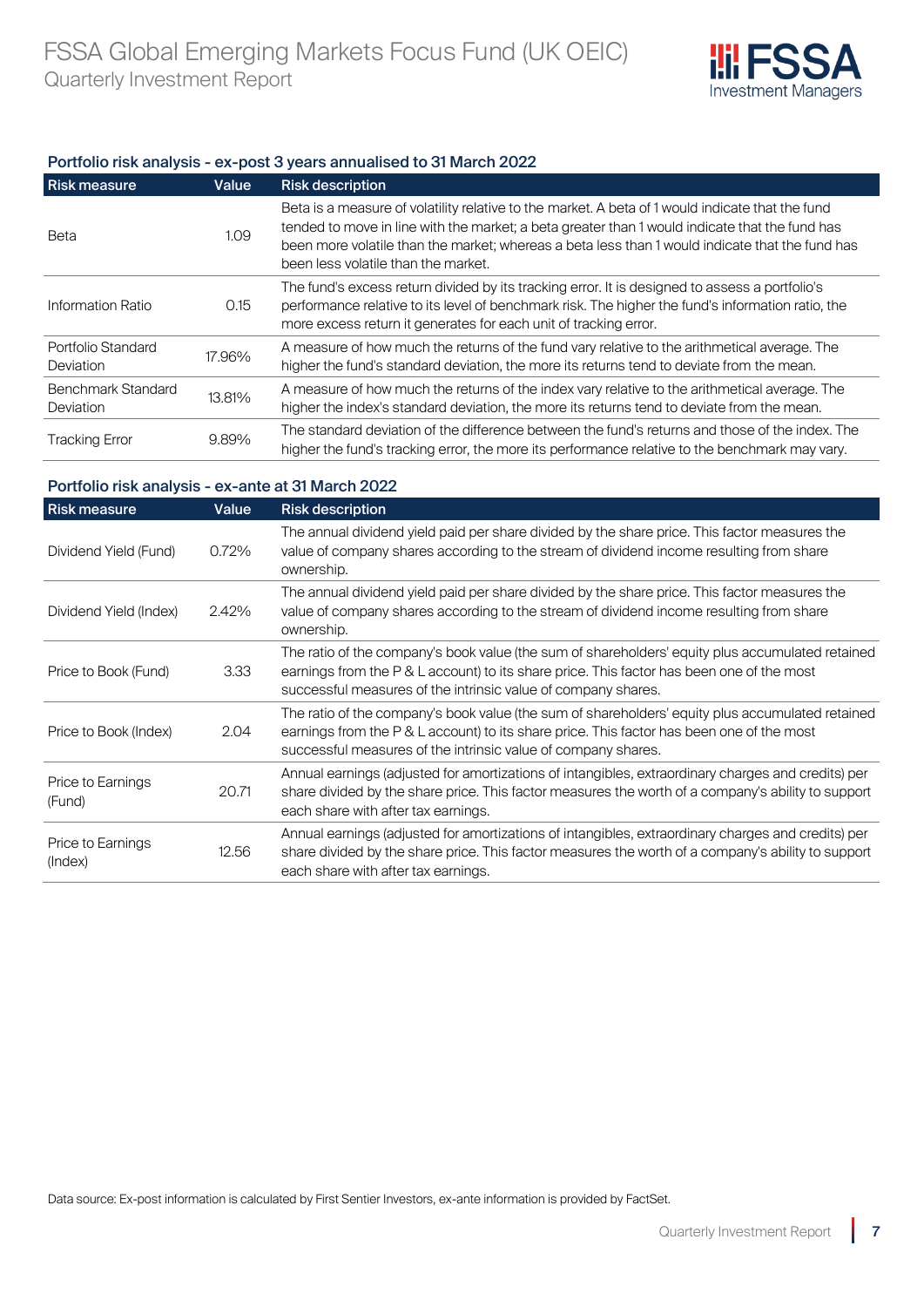

# Portfolio risk analysis - ex-post 3 years annualised to 31 March 2022

| <b>Risk measure</b>                           | Value  | <b>Risk description</b>                                                                                                                                                                                                                                                                                                                      |
|-----------------------------------------------|--------|----------------------------------------------------------------------------------------------------------------------------------------------------------------------------------------------------------------------------------------------------------------------------------------------------------------------------------------------|
| Beta                                          | 1.09   | Beta is a measure of volatility relative to the market. A beta of 1 would indicate that the fund<br>tended to move in line with the market; a beta greater than 1 would indicate that the fund has<br>been more volatile than the market; whereas a beta less than 1 would indicate that the fund has<br>been less volatile than the market. |
| Information Ratio                             | 0.15   | The fund's excess return divided by its tracking error. It is designed to assess a portfolio's<br>performance relative to its level of benchmark risk. The higher the fund's information ratio, the<br>more excess return it generates for each unit of tracking error.                                                                      |
| Portfolio Standard<br><b>Deviation</b>        | 17.96% | A measure of how much the returns of the fund vary relative to the arithmetical average. The<br>higher the fund's standard deviation, the more its returns tend to deviate from the mean.                                                                                                                                                    |
| <b>Benchmark Standard</b><br><b>Deviation</b> | 13.81% | A measure of how much the returns of the index vary relative to the arithmetical average. The<br>higher the index's standard deviation, the more its returns tend to deviate from the mean.                                                                                                                                                  |
| <b>Tracking Error</b>                         | 9.89%  | The standard deviation of the difference between the fund's returns and those of the index. The<br>higher the fund's tracking error, the more its performance relative to the benchmark may vary.                                                                                                                                            |

# Portfolio risk analysis - ex-ante at 31 March 2022

| <b>Risk measure</b>          | Value | <b>Risk description</b>                                                                                                                                                                                                                                        |
|------------------------------|-------|----------------------------------------------------------------------------------------------------------------------------------------------------------------------------------------------------------------------------------------------------------------|
| Dividend Yield (Fund)        | 0.72% | The annual dividend yield paid per share divided by the share price. This factor measures the<br>value of company shares according to the stream of dividend income resulting from share<br>ownership.                                                         |
| Dividend Yield (Index)       | 2.42% | The annual dividend yield paid per share divided by the share price. This factor measures the<br>value of company shares according to the stream of dividend income resulting from share<br>ownership.                                                         |
| Price to Book (Fund)         | 3.33  | The ratio of the company's book value (the sum of shareholders' equity plus accumulated retained<br>earnings from the P & L account) to its share price. This factor has been one of the most<br>successful measures of the intrinsic value of company shares. |
| Price to Book (Index)        | 2.04  | The ratio of the company's book value (the sum of shareholders' equity plus accumulated retained<br>earnings from the P & L account) to its share price. This factor has been one of the most<br>successful measures of the intrinsic value of company shares. |
| Price to Earnings<br>(Fund)  | 20.71 | Annual earnings (adjusted for amortizations of intangibles, extraordinary charges and credits) per<br>share divided by the share price. This factor measures the worth of a company's ability to support<br>each share with after tax earnings.                |
| Price to Earnings<br>(Index) | 12.56 | Annual earnings (adjusted for amortizations of intangibles, extraordinary charges and credits) per<br>share divided by the share price. This factor measures the worth of a company's ability to support<br>each share with after tax earnings.                |

Data source: Ex-post information is calculated by First Sentier Investors, ex-ante information is provided by FactSet.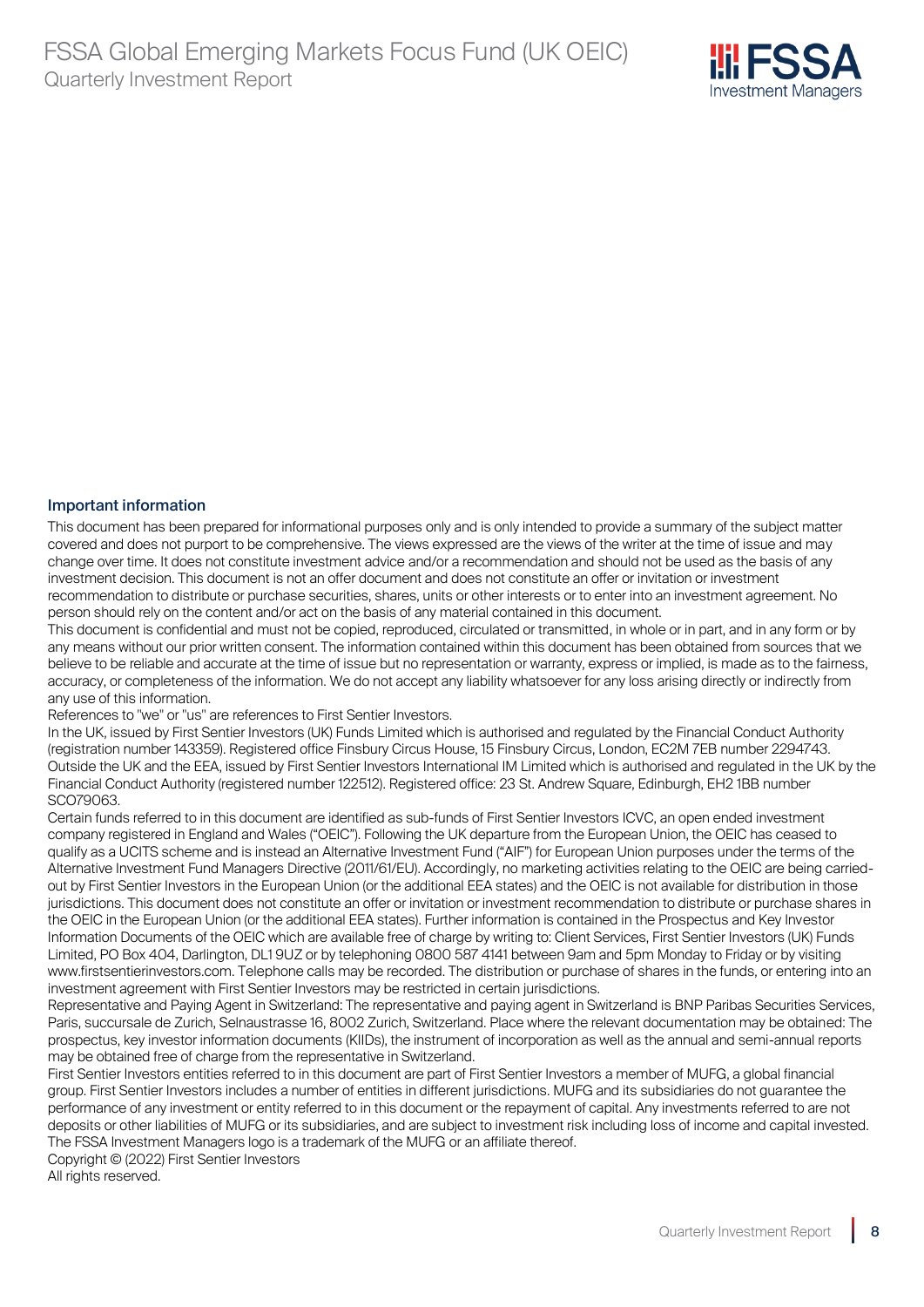

# Important information

This document has been prepared for informational purposes only and is only intended to provide a summary of the subject matter covered and does not purport to be comprehensive. The views expressed are the views of the writer at the time of issue and may change over time. It does not constitute investment advice and/or a recommendation and should not be used as the basis of any investment decision. This document is not an offer document and does not constitute an offer or invitation or investment recommendation to distribute or purchase securities, shares, units or other interests or to enter into an investment agreement. No person should rely on the content and/or act on the basis of any material contained in this document.

This document is confidential and must not be copied, reproduced, circulated or transmitted, in whole or in part, and in any form or by any means without our prior written consent. The information contained within this document has been obtained from sources that we believe to be reliable and accurate at the time of issue but no representation or warranty, express or implied, is made as to the fairness, accuracy, or completeness of the information. We do not accept any liability whatsoever for any loss arising directly or indirectly from any use of this information.

References to "we" or "us" are references to First Sentier Investors.

In the UK, issued by First Sentier Investors (UK) Funds Limited which is authorised and regulated by the Financial Conduct Authority (registration number 143359). Registered office Finsbury Circus House, 15 Finsbury Circus, London, EC2M 7EB number 2294743. Outside the UK and the EEA, issued by First Sentier Investors International IM Limited which is authorised and regulated in the UK by the Financial Conduct Authority (registered number 122512). Registered office: 23 St. Andrew Square, Edinburgh, EH2 1BB number SCO79063.

Certain funds referred to in this document are identified as sub-funds of First Sentier Investors ICVC, an open ended investment company registered in England and Wales ("OEIC"). Following the UK departure from the European Union, the OEIC has ceased to qualify as a UCITS scheme and is instead an Alternative Investment Fund ("AIF") for European Union purposes under the terms of the Alternative Investment Fund Managers Directive (2011/61/EU). Accordingly, no marketing activities relating to the OEIC are being carriedout by First Sentier Investors in the European Union (or the additional EEA states) and the OEIC is not available for distribution in those jurisdictions. This document does not constitute an offer or invitation or investment recommendation to distribute or purchase shares in the OEIC in the European Union (or the additional EEA states). Further information is contained in the Prospectus and Key Investor Information Documents of the OEIC which are available free of charge by writing to: Client Services, First Sentier Investors (UK) Funds Limited, PO Box 404, Darlington, DL1 9UZ or by telephoning 0800 587 4141 between 9am and 5pm Monday to Friday or by visiting www.firstsentierinvestors.com. Telephone calls may be recorded. The distribution or purchase of shares in the funds, or entering into an investment agreement with First Sentier Investors may be restricted in certain jurisdictions.

Representative and Paying Agent in Switzerland: The representative and paying agent in Switzerland is BNP Paribas Securities Services, Paris, succursale de Zurich, Selnaustrasse 16, 8002 Zurich, Switzerland. Place where the relevant documentation may be obtained: The prospectus, key investor information documents (KIIDs), the instrument of incorporation as well as the annual and semi-annual reports may be obtained free of charge from the representative in Switzerland.

First Sentier Investors entities referred to in this document are part of First Sentier Investors a member of MUFG, a global financial group. First Sentier Investors includes a number of entities in different jurisdictions. MUFG and its subsidiaries do not guarantee the performance of any investment or entity referred to in this document or the repayment of capital. Any investments referred to are not deposits or other liabilities of MUFG or its subsidiaries, and are subject to investment risk including loss of income and capital invested. The FSSA Investment Managers logo is a trademark of the MUFG or an affiliate thereof.

Copyright © (2022) First Sentier Investors All rights reserved.